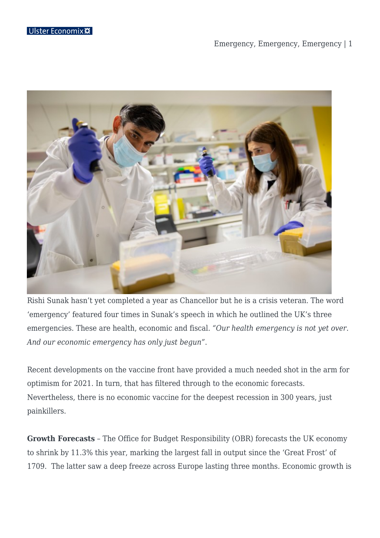## Emergency, Emergency, Emergency | 1



Rishi Sunak hasn't yet completed a year as Chancellor but he is a crisis veteran. The word 'emergency' featured four times in Sunak's speech in which he outlined the UK's three emergencies. These are health, economic and fiscal. *"Our health emergency is not yet over. And our economic emergency has only just begun"*.

Recent developments on the vaccine front have provided a much needed shot in the arm for optimism for 2021. In turn, that has filtered through to the economic forecasts. Nevertheless, there is no economic vaccine for the deepest recession in 300 years, just painkillers.

**Growth Forecasts** – The Office for Budget Responsibility (OBR) forecasts the UK economy to shrink by 11.3% this year, marking the largest fall in output since the 'Great Frost' of 1709. The latter saw a deep freeze across Europe lasting three months. Economic growth is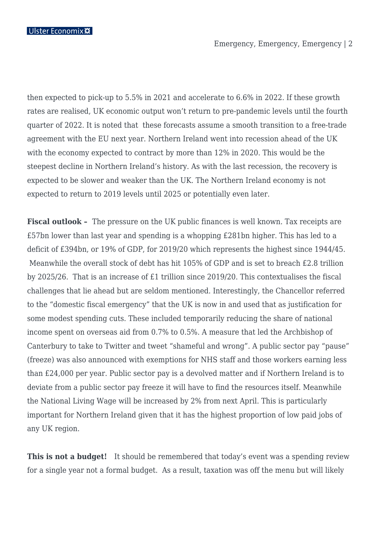then expected to pick-up to 5.5% in 2021 and accelerate to 6.6% in 2022. If these growth rates are realised, UK economic output won't return to pre-pandemic levels until the fourth quarter of 2022. It is noted that these forecasts assume a smooth transition to a free-trade agreement with the EU next year. Northern Ireland went into recession ahead of the UK with the economy expected to contract by more than 12% in 2020. This would be the steepest decline in Northern Ireland's history. As with the last recession, the recovery is expected to be slower and weaker than the UK. The Northern Ireland economy is not expected to return to 2019 levels until 2025 or potentially even later.

**Fiscal outlook –** The pressure on the UK public finances is well known. Tax receipts are £57bn lower than last year and spending is a whopping £281bn higher. This has led to a deficit of £394bn, or 19% of GDP, for 2019/20 which represents the highest since 1944/45. Meanwhile the overall stock of debt has hit 105% of GDP and is set to breach £2.8 trillion by 2025/26. That is an increase of £1 trillion since 2019/20. This contextualises the fiscal challenges that lie ahead but are seldom mentioned. Interestingly, the Chancellor referred to the "domestic fiscal emergency" that the UK is now in and used that as justification for some modest spending cuts. These included temporarily reducing the share of national income spent on overseas aid from 0.7% to 0.5%. A measure that led the Archbishop of Canterbury to take to Twitter and tweet "shameful and wrong". A public sector pay "pause" (freeze) was also announced with exemptions for NHS staff and those workers earning less than £24,000 per year. Public sector pay is a devolved matter and if Northern Ireland is to deviate from a public sector pay freeze it will have to find the resources itself. Meanwhile the National Living Wage will be increased by 2% from next April. This is particularly important for Northern Ireland given that it has the highest proportion of low paid jobs of any UK region.

**This is not a budget!** It should be remembered that today's event was a spending review for a single year not a formal budget. As a result, taxation was off the menu but will likely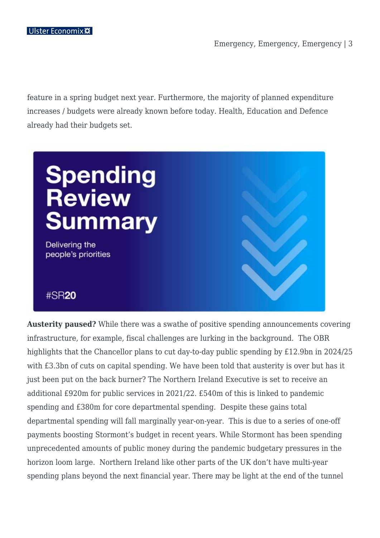feature in a spring budget next year. Furthermore, the majority of planned expenditure increases / budgets were already known before today. Health, Education and Defence already had their budgets set.



**Austerity paused?** While there was a swathe of positive spending announcements covering infrastructure, for example, fiscal challenges are lurking in the background. The OBR highlights that the Chancellor plans to cut day-to-day public spending by £12.9bn in 2024/25 with £3.3bn of cuts on capital spending. We have been told that austerity is over but has it just been put on the back burner? The Northern Ireland Executive is set to receive an additional £920m for public services in 2021/22. £540m of this is linked to pandemic spending and £380m for core departmental spending. Despite these gains total departmental spending will fall marginally year-on-year. This is due to a series of one-off payments boosting Stormont's budget in recent years. While Stormont has been spending unprecedented amounts of public money during the pandemic budgetary pressures in the horizon loom large. Northern Ireland like other parts of the UK don't have multi-year spending plans beyond the next financial year. There may be light at the end of the tunnel